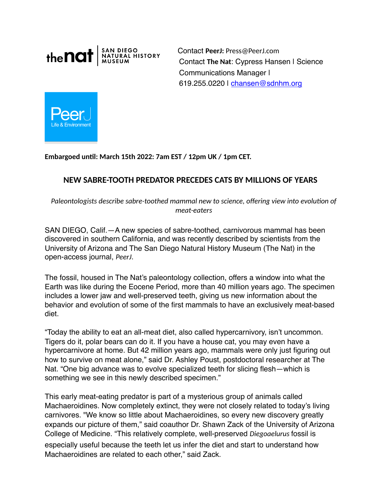

Contact **PeerJ:** Press@PeerJ.com Contact **The Nat**: Cypress Hansen | Science Communications Manager | 619.255.0220 | chansen@sdnhm.org



**Embargoed un4l: March 15th 2022: 7am EST / 12pm UK / 1pm CET.** 

# **NEW SABRE-TOOTH PREDATOR PRECEDES CATS BY MILLIONS OF YEARS**

Paleontologists describe sabre-toothed mammal new to science, offering view into evolution of *meat-eaters* 

SAN DIEGO, Calif.—A new species of sabre-toothed, carnivorous mammal has been discovered in southern California, and was recently described by scientists from the University of Arizona and The San Diego Natural History Museum (The Nat) in the open-access journal, *PeerJ*.

The fossil, housed in The Nat's paleontology collection, offers a window into what the Earth was like during the Eocene Period, more than 40 million years ago. The specimen includes a lower jaw and well-preserved teeth, giving us new information about the behavior and evolution of some of the first mammals to have an exclusively meat-based diet.

"Today the ability to eat an all-meat diet, also called hypercarnivory, isn't uncommon. Tigers do it, polar bears can do it. If you have a house cat, you may even have a hypercarnivore at home. But 42 million years ago, mammals were only just figuring out how to survive on meat alone," said Dr. Ashley Poust, postdoctoral researcher at The Nat. "One big advance was to evolve specialized teeth for slicing flesh—which is something we see in this newly described specimen."

This early meat-eating predator is part of a mysterious group of animals called Machaeroidines. Now completely extinct, they were not closely related to today's living carnivores. "We know so little about Machaeroidines, so every new discovery greatly expands our picture of them," said coauthor Dr. Shawn Zack of the University of Arizona College of Medicine. "This relatively complete, well-preserved *Diegoaelurus* fossil is especially useful because the teeth let us infer the diet and start to understand how Machaeroidines are related to each other," said Zack.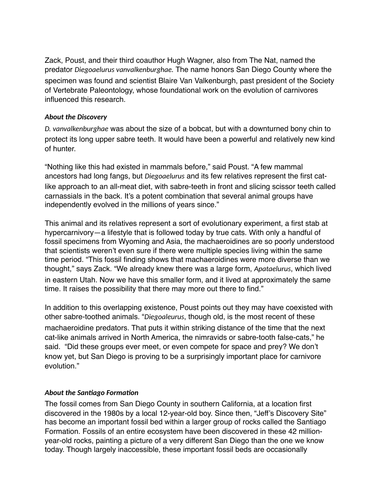Zack, Poust, and their third coauthor Hugh Wagner, also from The Nat, named the predator *Diegoaelurus vanvalkenburghae.* The name honors San Diego County where the specimen was found and scientist Blaire Van Valkenburgh, past president of the Society of Vertebrate Paleontology, whose foundational work on the evolution of carnivores influenced this research.

### *About the Discovery*

*D. vanvalkenburghae* was about the size of a bobcat, but with a downturned bony chin to protect its long upper sabre teeth. It would have been a powerful and relatively new kind of hunter.

"Nothing like this had existed in mammals before," said Poust. "A few mammal ancestors had long fangs, but *Diegoaelurus* and its few relatives represent the first catlike approach to an all-meat diet, with sabre-teeth in front and slicing scissor teeth called carnassials in the back. It's a potent combination that several animal groups have independently evolved in the millions of years since."

This animal and its relatives represent a sort of evolutionary experiment, a first stab at hypercarnivory—a lifestyle that is followed today by true cats. With only a handful of fossil specimens from Wyoming and Asia, the machaeroidines are so poorly understood that scientists weren't even sure if there were multiple species living within the same time period. "This fossil finding shows that machaeroidines were more diverse than we thought," says Zack. "We already knew there was a large form, *Apataelurus*, which lived in eastern Utah. Now we have this smaller form, and it lived at approximately the same time. It raises the possibility that there may more out there to find."

In addition to this overlapping existence, Poust points out they may have coexisted with other sabre-toothed animals. "*Diegoaleurus*, though old, is the most recent of these machaeroidine predators. That puts it within striking distance of the time that the next cat-like animals arrived in North America, the nimravids or sabre-tooth false-cats," he said. "Did these groups ever meet, or even compete for space and prey? We don't know yet, but San Diego is proving to be a surprisingly important place for carnivore evolution."

## About the Santiago Formation

The fossil comes from San Diego County in southern California, at a location first discovered in the 1980s by a local 12-year-old boy. Since then, "Jeff's Discovery Site" has become an important fossil bed within a larger group of rocks called the Santiago Formation. Fossils of an entire ecosystem have been discovered in these 42 millionyear-old rocks, painting a picture of a very different San Diego than the one we know today. Though largely inaccessible, these important fossil beds are occasionally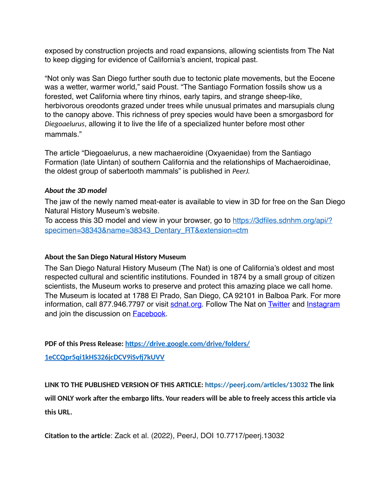exposed by construction projects and road expansions, allowing scientists from The Nat to keep digging for evidence of California's ancient, tropical past.

"Not only was San Diego further south due to tectonic plate movements, but the Eocene was a wetter, warmer world," said Poust. "The Santiago Formation fossils show us a forested, wet California where tiny rhinos, early tapirs, and strange sheep-like, herbivorous oreodonts grazed under trees while unusual primates and marsupials clung to the canopy above. This richness of prey species would have been a smorgasbord for *Diegoaelurus*, allowing it to live the life of a specialized hunter before most other mammals."

The article "Diegoaelurus, a new machaeroidine (Oxyaenidae) from the Santiago Formation (late Uintan) of southern California and the relationships of Machaeroidinae, the oldest group of sabertooth mammals" is published in *PeerJ.*

#### *About the 3D model*

The jaw of the newly named meat-eater is available to view in 3D for free on the San Diego Natural History Museum's website.

To access this 3D model and view in your browser, go to [https://3dfiles.sdnhm.org/api/?](https://3dfiles.sdnhm.org/api/?specimen=38343&name=38343_Dentary_RT&extension=ctm) [specimen=38343&name=38343\\_Dentary\\_RT&extension=ctm](https://3dfiles.sdnhm.org/api/?specimen=38343&name=38343_Dentary_RT&extension=ctm)

#### **About the San Diego Natural History Museum**

The San Diego Natural History Museum (The Nat) is one of California's oldest and most respected cultural and scientific institutions. Founded in 1874 by a small group of citizen scientists, the Museum works to preserve and protect this amazing place we call home. The Museum is located at 1788 El Prado, San Diego, CA 92101 in Balboa Park. For more information, call 877.946.7797 or visit [sdnat.org.](http://www.sdnat.org/) Follow The Nat on [Twitter a](https://twitter.com/SDNHM)nd [Instagram](http://instagram.com/sdnhm) and join the discussion on [Facebook.](https://www.facebook.com/SanDiegoNaturalHistoryMuseum)

**PDF of this Press Release: https://drive.google.com/drive/folders/** 

**[1eCCQpr5qi1kHS326jcDCV9iSv^7kUVV](https://drive.google.com/drive/folders/1eCCQpr5qi1kHS326jcDCV9iSvfj7kUVV)**

LINK TO THE PUBLISHED VERSION OF THIS ARTICLE: https://peerj.com/articles/13032 The link

will ONLY work after the embargo lifts. Your readers will be able to freely access this article via **this URL.**

**Citation to the article: Zack et al. (2022), PeerJ, DOI 10.7717/peerj.13032**